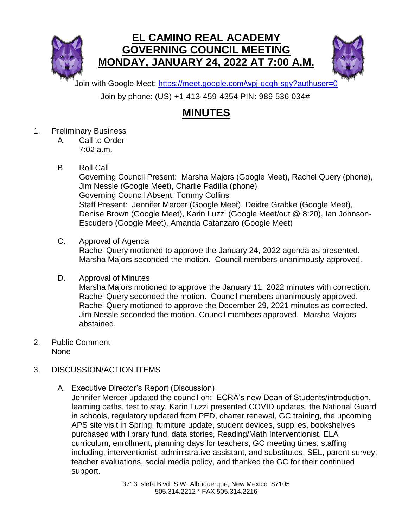



Join with Google Meet:<https://meet.google.com/wpj-qcqh-sgy?authuser=0>

Join by phone: (US) +1 413-459-4354 PIN: 989 536 034#

## **MINUTES**

- 1. Preliminary Business
	- A. Call to Order 7:02 a.m.
	- B. Roll Call

Governing Council Present: Marsha Majors (Google Meet), Rachel Query (phone), Jim Nessle (Google Meet), Charlie Padilla (phone) Governing Council Absent: Tommy Collins Staff Present: Jennifer Mercer (Google Meet), Deidre Grabke (Google Meet), Denise Brown (Google Meet), Karin Luzzi (Google Meet/out @ 8:20), Ian Johnson-Escudero (Google Meet), Amanda Catanzaro (Google Meet)

- C. Approval of Agenda Rachel Query motioned to approve the January 24, 2022 agenda as presented. Marsha Majors seconded the motion. Council members unanimously approved.
- D. Approval of Minutes

Marsha Majors motioned to approve the January 11, 2022 minutes with correction. Rachel Query seconded the motion. Council members unanimously approved. Rachel Query motioned to approve the December 29, 2021 minutes as corrected. Jim Nessle seconded the motion. Council members approved. Marsha Majors abstained.

- 2. Public Comment None
- 3. DISCUSSION/ACTION ITEMS
	- A. Executive Director's Report (Discussion)

Jennifer Mercer updated the council on: ECRA's new Dean of Students/introduction, learning paths, test to stay, Karin Luzzi presented COVID updates, the National Guard in schools, regulatory updated from PED, charter renewal, GC training, the upcoming APS site visit in Spring, furniture update, student devices, supplies, bookshelves purchased with library fund, data stories, Reading/Math Interventionist, ELA curriculum, enrollment, planning days for teachers, GC meeting times, staffing including; interventionist, administrative assistant, and substitutes, SEL, parent survey, teacher evaluations, social media policy, and thanked the GC for their continued support.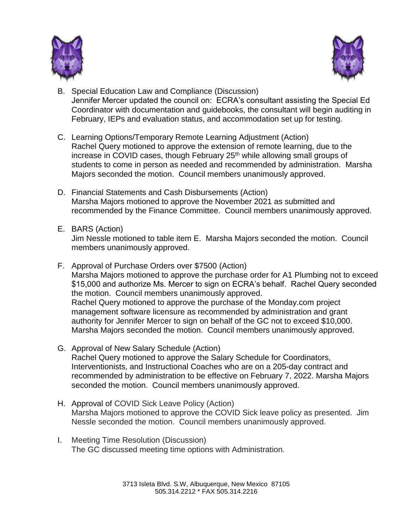



- B. Special Education Law and Compliance (Discussion) Jennifer Mercer updated the council on: ECRA's consultant assisting the Special Ed Coordinator with documentation and guidebooks, the consultant will begin auditing in February, IEPs and evaluation status, and accommodation set up for testing.
- C. Learning Options/Temporary Remote Learning Adjustment (Action) Rachel Query motioned to approve the extension of remote learning, due to the increase in COVID cases, though February 25<sup>th</sup> while allowing small groups of students to come in person as needed and recommended by administration. Marsha Majors seconded the motion. Council members unanimously approved.
- D. Financial Statements and Cash Disbursements (Action) Marsha Majors motioned to approve the November 2021 as submitted and recommended by the Finance Committee. Council members unanimously approved.
- E. BARS (Action)

Jim Nessle motioned to table item E. Marsha Majors seconded the motion. Council members unanimously approved.

- F. Approval of Purchase Orders over \$7500 (Action) Marsha Majors motioned to approve the purchase order for A1 Plumbing not to exceed \$15,000 and authorize Ms. Mercer to sign on ECRA's behalf. Rachel Query seconded the motion. Council members unanimously approved. Rachel Query motioned to approve the purchase of the Monday.com project management software licensure as recommended by administration and grant authority for Jennifer Mercer to sign on behalf of the GC not to exceed \$10,000. Marsha Majors seconded the motion. Council members unanimously approved.
- G. Approval of New Salary Schedule (Action) Rachel Query motioned to approve the Salary Schedule for Coordinators, Interventionists, and Instructional Coaches who are on a 205-day contract and recommended by administration to be effective on February 7, 2022. Marsha Majors seconded the motion. Council members unanimously approved.
- H. Approval of COVID Sick Leave Policy (Action) Marsha Majors motioned to approve the COVID Sick leave policy as presented. Jim Nessle seconded the motion. Council members unanimously approved.
- I. Meeting Time Resolution (Discussion) The GC discussed meeting time options with Administration.